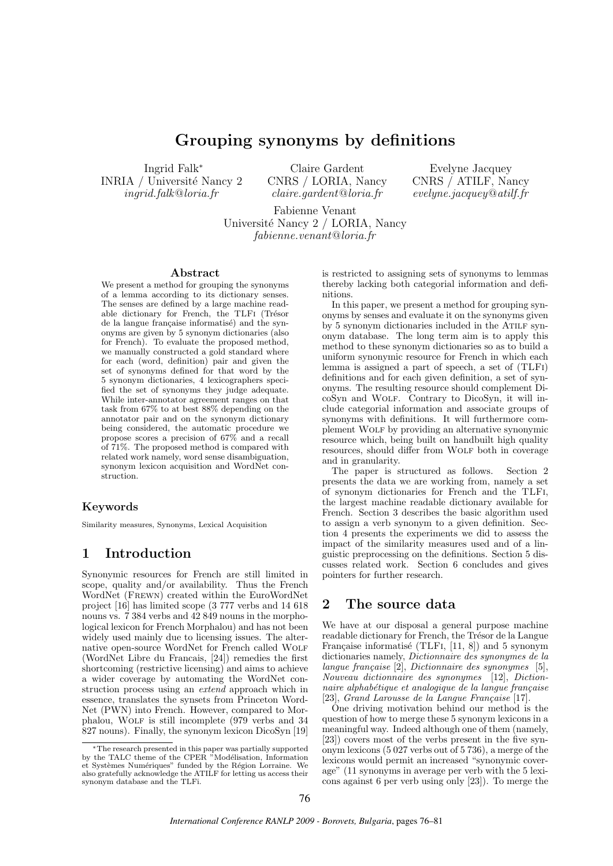# Grouping synonyms by definitions

Ingrid Falk<sup>∗</sup> INRIA / Université Nancy 2 ingrid.falk@loria.fr

Claire Gardent CNRS / LORIA, Nancy  $claire. \nq \textit{a} \textit{r} \textit{d} \textit{l} \textit{or} \textit{i} \textit{a}.$  fr

Evelyne Jacquey CNRS / ATILF, Nancy  $evelune.iacauev@atilf.fr$ 

Fabienne Venant Université Nancy 2 / LORIA, Nancy fabienne.venant@loria.fr

#### Abstract

We present a method for grouping the synonyms of a lemma according to its dictionary senses. The senses are defined by a large machine readable dictionary for French, the TLFI (Trésor de la langue française informatisé) and the synonyms are given by 5 synonym dictionaries (also for French). To evaluate the proposed method, we manually constructed a gold standard where for each (word, definition) pair and given the set of synonyms defined for that word by the 5 synonym dictionaries, 4 lexicographers specified the set of synonyms they judge adequate. While inter-annotator agreement ranges on that task from 67% to at best 88% depending on the annotator pair and on the synonym dictionary being considered, the automatic procedure we propose scores a precision of 67% and a recall of 71%. The proposed method is compared with related work namely, word sense disambiguation, synonym lexicon acquisition and WordNet construction.

#### Keywords

Similarity measures, Synonyms, Lexical Acquisition

# 1 Introduction

Synonymic resources for French are still limited in scope, quality and/or availability. Thus the French WordNet (Frewn) created within the EuroWordNet project [16] has limited scope (3 777 verbs and 14 618 nouns vs. 7 384 verbs and 42 849 nouns in the morphological lexicon for French Morphalou) and has not been widely used mainly due to licensing issues. The alternative open-source WordNet for French called Wolf (WordNet Libre du Francais, [24]) remedies the first shortcoming (restrictive licensing) and aims to achieve a wider coverage by automating the WordNet construction process using an extend approach which in essence, translates the synsets from Princeton Word-Net (PWN) into French. However, compared to Morphalou, Wolf is still incomplete (979 verbs and 34 827 nouns). Finally, the synonym lexicon DicoSyn [19] is restricted to assigning sets of synonyms to lemmas thereby lacking both categorial information and definitions.

In this paper, we present a method for grouping synonyms by senses and evaluate it on the synonyms given by 5 synonym dictionaries included in the Atilf synonym database. The long term aim is to apply this method to these synonym dictionaries so as to build a uniform synonymic resource for French in which each lemma is assigned a part of speech, a set of (TLFi) definitions and for each given definition, a set of synonyms. The resulting resource should complement DicoSyn and Wolf. Contrary to DicoSyn, it will include categorial information and associate groups of synonyms with definitions. It will furthermore complement Wolf by providing an alternative synonymic resource which, being built on handbuilt high quality resources, should differ from WOLF both in coverage and in granularity.

The paper is structured as follows. Section 2 presents the data we are working from, namely a set of synonym dictionaries for French and the TLFi, the largest machine readable dictionary available for French. Section 3 describes the basic algorithm used to assign a verb synonym to a given definition. Section 4 presents the experiments we did to assess the impact of the similarity measures used and of a linguistic preprocessing on the definitions. Section 5 discusses related work. Section 6 concludes and gives pointers for further research.

## 2 The source data

We have at our disposal a general purpose machine readable dictionary for French, the Trésor de la Langue Française informatisé (TLFI,  $[11, 8]$ ) and 5 synonym dictionaries namely, Dictionnaire des synonymes de la langue française  $[2]$ , Dictionnaire des synonymes  $[5]$ , Nouveau dictionnaire des synonymes [12], Dictionnaire alphabétique et analogique de la langue française  $[23]$ , Grand Larousse de la Langue Française  $[17]$ .

One driving motivation behind our method is the question of how to merge these 5 synonym lexicons in a meaningful way. Indeed although one of them (namely, [23]) covers most of the verbs present in the five synonym lexicons (5 027 verbs out of 5 736), a merge of the lexicons would permit an increased "synonymic coverage" (11 synonyms in average per verb with the 5 lexicons against 6 per verb using only [23]). To merge the

<sup>∗</sup>The research presented in this paper was partially supported by the TALC theme of the CPER "Modélisation, Information et Systèmes Numériques" funded by the Région Lorraine. We also gratefully acknowledge the ATILF for letting us access their synonym database and the TLFi.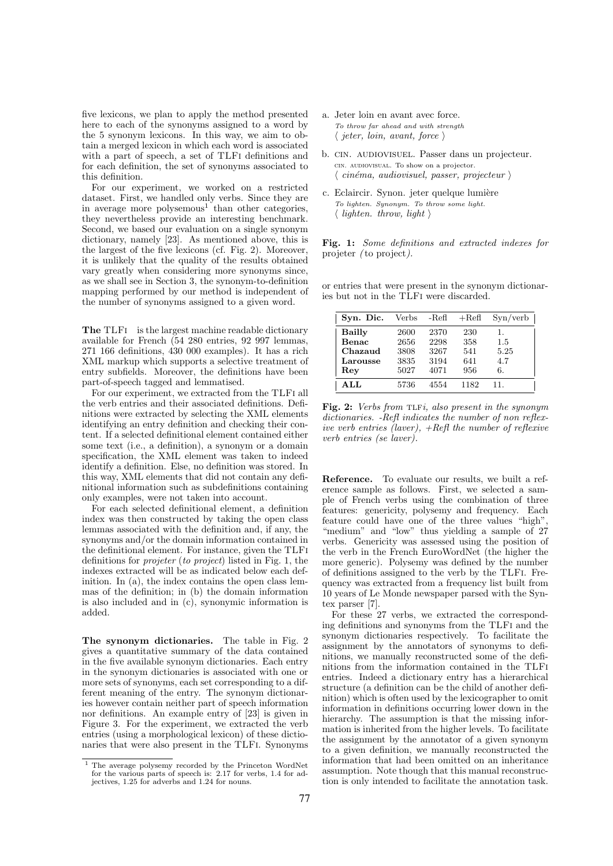five lexicons, we plan to apply the method presented here to each of the synonyms assigned to a word by the 5 synonym lexicons. In this way, we aim to obtain a merged lexicon in which each word is associated with a part of speech, a set of TLFI definitions and for each definition, the set of synonyms associated to this definition.

For our experiment, we worked on a restricted dataset. First, we handled only verbs. Since they are in average more polysemous<sup>1</sup> than other categories, they nevertheless provide an interesting benchmark. Second, we based our evaluation on a single synonym dictionary, namely [23]. As mentioned above, this is the largest of the five lexicons (cf. Fig. 2). Moreover, it is unlikely that the quality of the results obtained vary greatly when considering more synonyms since, as we shall see in Section 3, the synonym-to-definition mapping performed by our method is independent of the number of synonyms assigned to a given word.

The TLFI is the largest machine readable dictionary available for French (54 280 entries, 92 997 lemmas, 271 166 definitions, 430 000 examples). It has a rich XML markup which supports a selective treatment of entry subfields. Moreover, the definitions have been part-of-speech tagged and lemmatised.

For our experiment, we extracted from the TLFi all the verb entries and their associated definitions. Definitions were extracted by selecting the XML elements identifying an entry definition and checking their content. If a selected definitional element contained either some text (i.e., a definition), a synonym or a domain specification, the XML element was taken to indeed identify a definition. Else, no definition was stored. In this way, XML elements that did not contain any definitional information such as subdefinitions containing only examples, were not taken into account.

For each selected definitional element, a definition index was then constructed by taking the open class lemmas associated with the definition and, if any, the synonyms and/or the domain information contained in the definitional element. For instance, given the TLFi definitions for projeter (to project) listed in Fig. 1, the indexes extracted will be as indicated below each definition. In (a), the index contains the open class lemmas of the definition; in (b) the domain information is also included and in (c), synonymic information is added.

The synonym dictionaries. The table in Fig. 2 gives a quantitative summary of the data contained in the five available synonym dictionaries. Each entry in the synonym dictionaries is associated with one or more sets of synonyms, each set corresponding to a different meaning of the entry. The synonym dictionaries however contain neither part of speech information nor definitions. An example entry of [23] is given in Figure 3. For the experiment, we extracted the verb entries (using a morphological lexicon) of these dictionaries that were also present in the TLFi. Synonyms

- a. Jeter loin en avant avec force. To throw far ahead and with strength  $\langle$  jeter, loin, avant, force  $\rangle$
- b. cin. audiovisuel. Passer dans un projecteur. cin. audiovisual. To show on a projector.  $\langle$  cinéma, audiovisuel, passer, projecteur  $\rangle$
- c. Eclaircir. Synon. jeter quelque lumière To lighten. Synonym. To throw some light.  $\langle$  lighten. throw, light  $\rangle$

Fig. 1: Some definitions and extracted indexes for projeter ( to project).

or entries that were present in the synonym dictionaries but not in the TLFi were discarded.

| Syn. Dic.    | Verbs | -Refl | $+$ Refl | Syn/verb |
|--------------|-------|-------|----------|----------|
| Bailly       | 2600  | 2370  | 230      | 1.       |
| <b>Benac</b> | 2656  | 2298  | 358      | 1.5      |
| Chazaud      | 3808  | 3267  | 541      | 5.25     |
| Larousse     | 3835  | 3194  | 641      | 4.7      |
| Rev          | 5027  | 4071  | 956      | 6.       |
| ALI          | 5736  | 4554  | 1182     | 11.      |

Fig. 2: Verbs from TLFi, also present in the synonym dictionaries. -Refl indicates the number of non reflexive verb entries (laver), +Refl the number of reflexive verb entries (se laver).

Reference. To evaluate our results, we built a reference sample as follows. First, we selected a sample of French verbs using the combination of three features: genericity, polysemy and frequency. Each feature could have one of the three values "high", "medium" and "low" thus yielding a sample of 27 verbs. Genericity was assessed using the position of the verb in the French EuroWordNet (the higher the more generic). Polysemy was defined by the number of definitions assigned to the verb by the TLFi. Frequency was extracted from a frequency list built from 10 years of Le Monde newspaper parsed with the Syntex parser [7].

For these 27 verbs, we extracted the corresponding definitions and synonyms from the TLFi and the synonym dictionaries respectively. To facilitate the assignment by the annotators of synonyms to definitions, we manually reconstructed some of the definitions from the information contained in the TLFi entries. Indeed a dictionary entry has a hierarchical structure (a definition can be the child of another definition) which is often used by the lexicographer to omit information in definitions occurring lower down in the hierarchy. The assumption is that the missing information is inherited from the higher levels. To facilitate the assignment by the annotator of a given synonym to a given definition, we manually reconstructed the information that had been omitted on an inheritance assumption. Note though that this manual reconstruction is only intended to facilitate the annotation task.

<sup>1</sup> The average polysemy recorded by the Princeton WordNet for the various parts of speech is: 2.17 for verbs, 1.4 for adjectives, 1.25 for adverbs and 1.24 for nouns.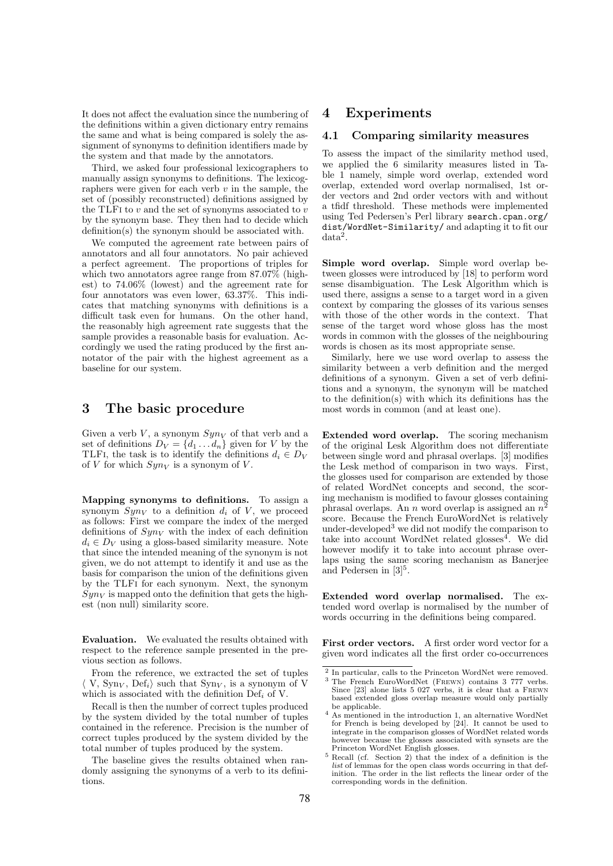It does not affect the evaluation since the numbering of the definitions within a given dictionary entry remains the same and what is being compared is solely the assignment of synonyms to definition identifiers made by the system and that made by the annotators.

Third, we asked four professional lexicographers to manually assign synonyms to definitions. The lexicographers were given for each verb  $v$  in the sample, the set of (possibly reconstructed) definitions assigned by the TLFI to  $v$  and the set of synonyms associated to  $v$ by the synonym base. They then had to decide which definition(s) the synonym should be associated with.

We computed the agreement rate between pairs of annotators and all four annotators. No pair achieved a perfect agreement. The proportions of triples for which two annotators agree range from 87.07% (highest) to 74.06% (lowest) and the agreement rate for four annotators was even lower, 63.37%. This indicates that matching synonyms with definitions is a difficult task even for humans. On the other hand, the reasonably high agreement rate suggests that the sample provides a reasonable basis for evaluation. Accordingly we used the rating produced by the first annotator of the pair with the highest agreement as a baseline for our system.

## 3 The basic procedure

Given a verb V, a synonym  $Syn_V$  of that verb and a set of definitions  $D_V = \{d_1 \dots d_n\}$  given for V by the TLFI, the task is to identify the definitions  $d_i \in D_V$ of V for which  $Syn_V$  is a synonym of V.

Mapping synonyms to definitions. To assign a synonym  $Sym_V$  to a definition  $d_i$  of V, we proceed as follows: First we compare the index of the merged definitions of  $Syn_V$  with the index of each definition  $d_i \in D_V$  using a gloss-based similarity measure. Note that since the intended meaning of the synonym is not given, we do not attempt to identify it and use as the basis for comparison the union of the definitions given by the TLFi for each synonym. Next, the synonym  $Syn<sub>V</sub>$  is mapped onto the definition that gets the highest (non null) similarity score.

Evaluation. We evaluated the results obtained with respect to the reference sample presented in the previous section as follows.

From the reference, we extracted the set of tuples  $\langle V, Sym_V, Def_i \rangle$  such that  $Sym_V$ , is a synonym of V which is associated with the definition  $\text{Def}_i$  of V.

Recall is then the number of correct tuples produced by the system divided by the total number of tuples contained in the reference. Precision is the number of correct tuples produced by the system divided by the total number of tuples produced by the system.

The baseline gives the results obtained when randomly assigning the synonyms of a verb to its definitions.

#### 4 Experiments

#### 4.1 Comparing similarity measures

To assess the impact of the similarity method used, we applied the 6 similarity measures listed in Table 1 namely, simple word overlap, extended word overlap, extended word overlap normalised, 1st order vectors and 2nd order vectors with and without a tfidf threshold. These methods were implemented using Ted Pedersen's Perl library search.cpan.org/ dist/WordNet-Similarity/ and adapting it to fit our data<sup>2</sup> .

Simple word overlap. Simple word overlap between glosses were introduced by [18] to perform word sense disambiguation. The Lesk Algorithm which is used there, assigns a sense to a target word in a given context by comparing the glosses of its various senses with those of the other words in the context. That sense of the target word whose gloss has the most words in common with the glosses of the neighbouring words is chosen as its most appropriate sense.

Similarly, here we use word overlap to assess the similarity between a verb definition and the merged definitions of a synonym. Given a set of verb definitions and a synonym, the synonym will be matched to the definition(s) with which its definitions has the most words in common (and at least one).

Extended word overlap. The scoring mechanism of the original Lesk Algorithm does not differentiate between single word and phrasal overlaps. [3] modifies the Lesk method of comparison in two ways. First, the glosses used for comparison are extended by those of related WordNet concepts and second, the scoring mechanism is modified to favour glosses containing phrasal overlaps. An *n* word overlap is assigned an  $n^2$ score. Because the French EuroWordNet is relatively under-developed<sup>3</sup> we did not modify the comparison to take into account WordNet related glosses<sup>4</sup>. We did however modify it to take into account phrase overlaps using the same scoring mechanism as Banerjee and Pedersen in  $[3]^{5}$ .

Extended word overlap normalised. The extended word overlap is normalised by the number of words occurring in the definitions being compared.

First order vectors. A first order word vector for a given word indicates all the first order co-occurrences

<sup>2</sup> In particular, calls to the Princeton WordNet were removed.

<sup>3</sup> The French EuroWordNet (Frewn) contains 3 777 verbs. Since [23] alone lists 5 027 verbs, it is clear that a FREWN based extended gloss overlap measure would only partially be applicable.

<sup>4</sup> As mentioned in the introduction 1, an alternative WordNet for French is being developed by [24]. It cannot be used to integrate in the comparison glosses of WordNet related words however because the glosses associated with synsets are the Princeton WordNet English glosses.

<sup>5</sup> Recall (cf. Section 2) that the index of a definition is the list of lemmas for the open class words occurring in that definition. The order in the list reflects the linear order of the corresponding words in the definition.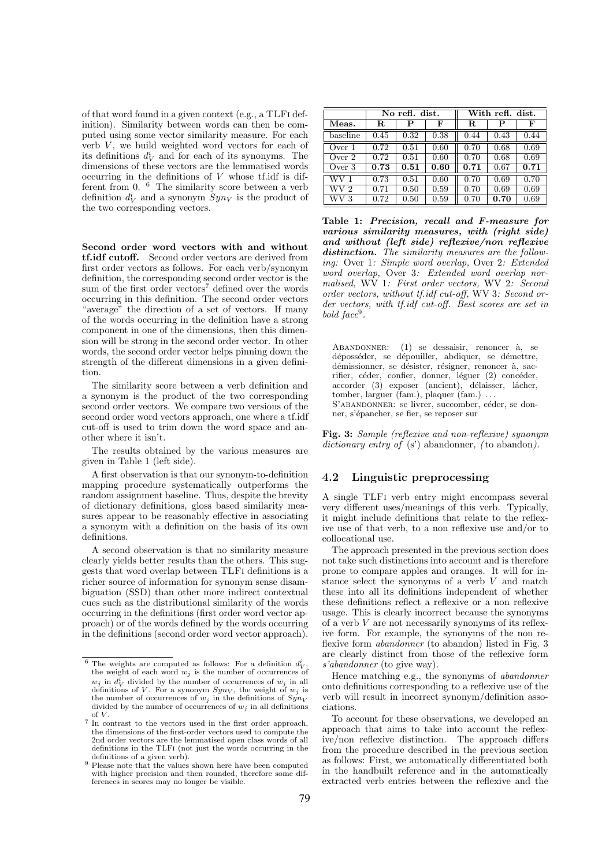of that word found in a given context (e.g., a TLFi definition). Similarity between words can then be computed using some vector similarity measure. For each verb  $V$ , we build weighted word vectors for each of its definitions  $d_V^i$  and for each of its synonyms. The dimensions of these vectors are the lemmatised words occurring in the definitions of  $V$  whose tf.idf is different from 0. <sup>6</sup> The similarity score between a verb definition  $d_V^i$  and a synonym  $\overline{Syn_V}$  is the product of the two corresponding vectors.

Second order word vectors with and without tf.idf cutoff. Second order vectors are derived from first order vectors as follows. For each verb/synonym definition, the corresponding second order vector is the sum of the first order vectors<sup>7</sup> defined over the words occurring in this definition. The second order vectors "average" the direction of a set of vectors. If many of the words occurring in the definition have a strong component in one of the dimensions, then this dimension will be strong in the second order vector. In other words, the second order vector helps pinning down the strength of the different dimensions in a given definition.

The similarity score between a verb definition and a synonym is the product of the two corresponding second order vectors. We compare two versions of the second order word vectors approach, one where a tf.idf cut-off is used to trim down the word space and another where it isn't.

The results obtained by the various measures are given in Table 1 (left side).

A first observation is that our synonym-to-definition mapping procedure systematically outperforms the random assignment baseline. Thus, despite the brevity of dictionary definitions, gloss based similarity measures appear to be reasonably effective in associating a synonym with a definition on the basis of its own definitions.

A second observation is that no similarity measure clearly yields better results than the others. This suggests that word overlap between TLFi definitions is a richer source of information for synonym sense disambiguation (SSD) than other more indirect contextual cues such as the distributional similarity of the words occurring in the definitions (first order word vector approach) or of the words defined by the words occurring in the definitions (second order word vector approach).

|          | No refl. dist. |      |      | With refl. dist. |      |      |
|----------|----------------|------|------|------------------|------|------|
| Meas.    | R              | P    | F    | $\mathbf R$      | P    | F    |
| baseline | 0.45           | 0.32 | 0.38 | 0.44             | 0.43 | 0.44 |
| Over 1   | 0.72           | 0.51 | 0.60 | 0.70             | 0.68 | 0.69 |
| Over 2   | 0.72           | 0.51 | 0.60 | 0.70             | 0.68 | 0.69 |
| Over 3   | 0.73           | 0.51 | 0.60 | 0.71             | 0.67 | 0.71 |
| WV 1     | 0.73           | 0.51 | 0.60 | 0.70             | 0.69 | 0.70 |
| WV 2     | 0.71           | 0.50 | 0.59 | 0.70             | 0.69 | 0.69 |
| WV 3     | 0.72           | 0.50 | 0.59 | 0.70             | 0.70 | 0.69 |

Table 1: Precision, recall and F-measure for various similarity measures, with (right side) and without (left side) reflexive/non reflexive distinction. The similarity measures are the following: Over 1: Simple word overlap, Over 2: Extended word overlap, Over 3: Extended word overlap normalised, WV 1: First order vectors, WV 2: Second order vectors, without tf.idf cut-off, WV 3: Second order vectors, with tf.idf cut-off. Best scores are set in bold face<sup>9</sup> .

ABANDONNER:  $(1)$  se dessaisir, renoncer à, se déposséder, se dépouiller, abdiquer, se démettre, démissionner, se désister, résigner, renoncer à, sacrifier, céder, confier, donner, léguer (2) concéder, accorder (3) exposer (ancient), délaisser, lâcher, tomber, larguer (fam.), plaquer (fam.) . . . S'ABANDONNER: se livrer, succomber, céder, se donner, s'épancher, se fier, se reposer sur

Fig. 3: Sample (reflexive and non-reflexive) synonym dictionary entry of  $(s')$  abandonner, (to abandon).

#### 4.2 Linguistic preprocessing

A single TLFi verb entry might encompass several very different uses/meanings of this verb. Typically, it might include definitions that relate to the reflexive use of that verb, to a non reflexive use and/or to collocational use.

The approach presented in the previous section does not take such distinctions into account and is therefore prone to compare apples and oranges. It will for instance select the synonyms of a verb  $V$  and match these into all its definitions independent of whether these definitions reflect a reflexive or a non reflexive usage. This is clearly incorrect because the synonyms of a verb  $V$  are not necessarily synonyms of its reflexive form. For example, the synonyms of the non reflexive form *abandonner* (to abandon) listed in Fig. 3 are clearly distinct from those of the reflexive form s'abandonner (to give way).

Hence matching e.g., the synonyms of abandonner onto definitions corresponding to a reflexive use of the verb will result in incorrect synonym/definition associations.

To account for these observations, we developed an approach that aims to take into account the reflexive/non reflexive distinction. The approach differs from the procedure described in the previous section as follows: First, we automatically differentiated both in the handbuilt reference and in the automatically extracted verb entries between the reflexive and the

<sup>&</sup>lt;sup>6</sup> The weights are computed as follows: For a definition  $d_V^i$ , the weight of each word  $w_i$  is the number of occurrences of  $w_j$  in  $d_V^i$  divided by the number of occurrences of  $w_j$  in all  $w_j$  in  $u_V$  divided by the number of occurrences of  $w_j$  in an definitions of V. For a synonym  $Syn_V$ , the weight of  $w_j$  is the number of occurrences of  $w_i$  in the definitions of  $\overline{Syn}_V$ divided by the number of occurrences of  $w_j$  in all definitions of  $V$ .

<sup>7</sup> In contrast to the vectors used in the first order approach, the dimensions of the first-order vectors used to compute the 2nd order vectors are the lemmatised open class words of all definitions in the TLFi (not just the words occurring in the definitions of a given verb).

<sup>&</sup>lt;sup>9</sup> Please note that the values shown here have been computed with higher precision and then rounded, therefore some differences in scores may no longer be visible.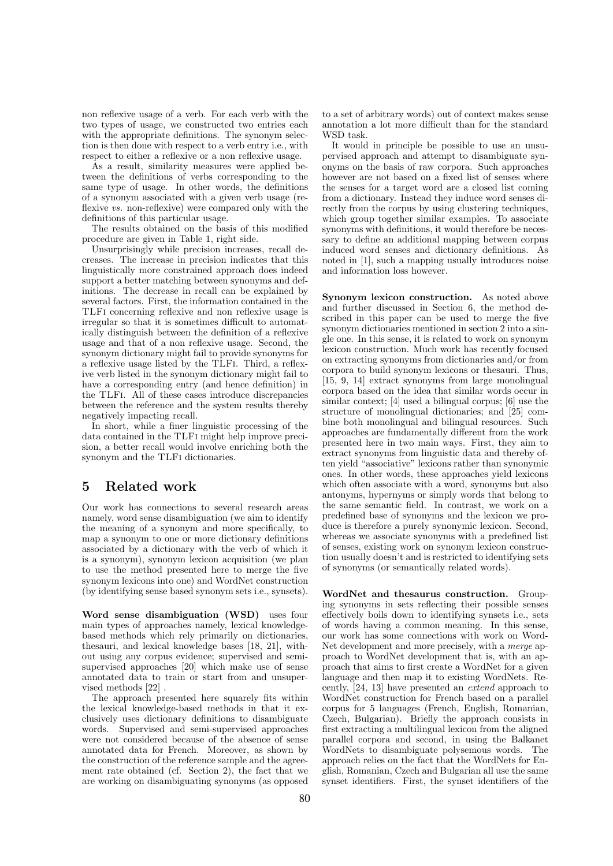non reflexive usage of a verb. For each verb with the two types of usage, we constructed two entries each with the appropriate definitions. The synonym selection is then done with respect to a verb entry i.e., with respect to either a reflexive or a non reflexive usage.

As a result, similarity measures were applied between the definitions of verbs corresponding to the same type of usage. In other words, the definitions of a synonym associated with a given verb usage (reflexive *vs.* non-reflexive) were compared only with the definitions of this particular usage.

The results obtained on the basis of this modified procedure are given in Table 1, right side.

Unsurprisingly while precision increases, recall decreases. The increase in precision indicates that this linguistically more constrained approach does indeed support a better matching between synonyms and definitions. The decrease in recall can be explained by several factors. First, the information contained in the TLFi concerning reflexive and non reflexive usage is irregular so that it is sometimes difficult to automatically distinguish between the definition of a reflexive usage and that of a non reflexive usage. Second, the synonym dictionary might fail to provide synonyms for a reflexive usage listed by the TLFi. Third, a reflexive verb listed in the synonym dictionary might fail to have a corresponding entry (and hence definition) in the TLFi. All of these cases introduce discrepancies between the reference and the system results thereby negatively impacting recall.

In short, while a finer linguistic processing of the data contained in the TLFi might help improve precision, a better recall would involve enriching both the synonym and the TLFi dictionaries.

# 5 Related work

Our work has connections to several research areas namely, word sense disambiguation (we aim to identify the meaning of a synonym and more specifically, to map a synonym to one or more dictionary definitions associated by a dictionary with the verb of which it is a synonym), synonym lexicon acquisition (we plan to use the method presented here to merge the five synonym lexicons into one) and WordNet construction (by identifying sense based synonym sets i.e., synsets).

Word sense disambiguation (WSD) uses four main types of approaches namely, lexical knowledgebased methods which rely primarily on dictionaries, thesauri, and lexical knowledge bases [18, 21], without using any corpus evidence; supervised and semisupervised approaches [20] which make use of sense annotated data to train or start from and unsupervised methods [22] .

The approach presented here squarely fits within the lexical knowledge-based methods in that it exclusively uses dictionary definitions to disambiguate words. Supervised and semi-supervised approaches were not considered because of the absence of sense annotated data for French. Moreover, as shown by the construction of the reference sample and the agreement rate obtained (cf. Section 2), the fact that we are working on disambiguating synonyms (as opposed

to a set of arbitrary words) out of context makes sense annotation a lot more difficult than for the standard WSD task.

It would in principle be possible to use an unsupervised approach and attempt to disambiguate synonyms on the basis of raw corpora. Such approaches however are not based on a fixed list of senses where the senses for a target word are a closed list coming from a dictionary. Instead they induce word senses directly from the corpus by using clustering techniques, which group together similar examples. To associate synonyms with definitions, it would therefore be necessary to define an additional mapping between corpus induced word senses and dictionary definitions. As noted in [1], such a mapping usually introduces noise and information loss however.

Synonym lexicon construction. As noted above and further discussed in Section 6, the method described in this paper can be used to merge the five synonym dictionaries mentioned in section 2 into a single one. In this sense, it is related to work on synonym lexicon construction. Much work has recently focused on extracting synonyms from dictionaries and/or from corpora to build synonym lexicons or thesauri. Thus, [15, 9, 14] extract synonyms from large monolingual corpora based on the idea that similar words occur in similar context; [4] used a bilingual corpus; [6] use the structure of monolingual dictionaries; and [25] combine both monolingual and bilingual resources. Such approaches are fundamentally different from the work presented here in two main ways. First, they aim to extract synonyms from linguistic data and thereby often yield "associative" lexicons rather than synonymic ones. In other words, these approaches yield lexicons which often associate with a word, synonyms but also antonyms, hypernyms or simply words that belong to the same semantic field. In contrast, we work on a predefined base of synonyms and the lexicon we produce is therefore a purely synonymic lexicon. Second, whereas we associate synonyms with a predefined list of senses, existing work on synonym lexicon construction usually doesn't and is restricted to identifying sets of synonyms (or semantically related words).

WordNet and thesaurus construction. Grouping synonyms in sets reflecting their possible senses effectively boils down to identifying synsets i.e., sets of words having a common meaning. In this sense, our work has some connections with work on Word-Net development and more precisely, with a merge approach to WordNet development that is, with an approach that aims to first create a WordNet for a given language and then map it to existing WordNets. Recently, [24, 13] have presented an extend approach to WordNet construction for French based on a parallel corpus for 5 languages (French, English, Romanian, Czech, Bulgarian). Briefly the approach consists in first extracting a multilingual lexicon from the aligned parallel corpora and second, in using the Balkanet WordNets to disambiguate polysemous words. The approach relies on the fact that the WordNets for English, Romanian, Czech and Bulgarian all use the same synset identifiers. First, the synset identifiers of the